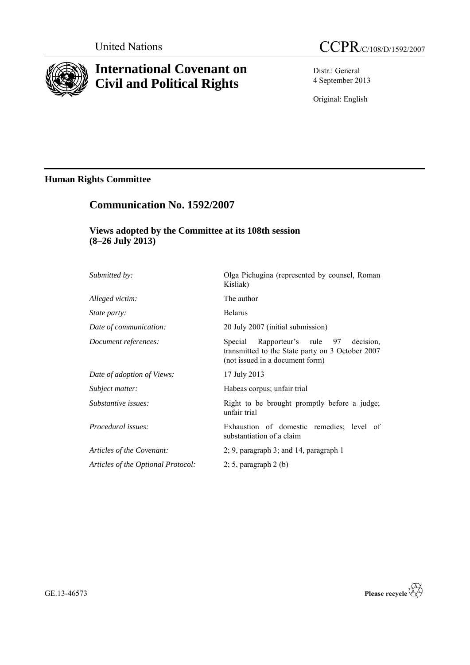

# **International Covenant on Civil and Political Rights**

Distr.: General 4 September 2013

Original: English

# **Human Rights Committee**

# **Communication No. 1592/2007**

# **Views adopted by the Committee at its 108th session (8–26 July 2013)**

| <i>Submitted by:</i>               | Olga Pichugina (represented by counsel, Roman<br>Kisliak)                                                                           |
|------------------------------------|-------------------------------------------------------------------------------------------------------------------------------------|
| Alleged victim:                    | The author                                                                                                                          |
| State party:                       | <b>Belarus</b>                                                                                                                      |
| Date of communication:             | 20 July 2007 (initial submission)                                                                                                   |
| Document references:               | Rapporteur's rule 97<br>Special<br>decision.<br>transmitted to the State party on 3 October 2007<br>(not issued in a document form) |
| Date of adoption of Views:         | 17 July 2013                                                                                                                        |
| Subject matter:                    | Habeas corpus; unfair trial                                                                                                         |
| Substantive issues:                | Right to be brought promptly before a judge;<br>unfair trial                                                                        |
| Procedural issues:                 | Exhaustion of domestic remedies; level of<br>substantiation of a claim                                                              |
| Articles of the Covenant:          | $2$ ; 9, paragraph 3; and 14, paragraph 1                                                                                           |
| Articles of the Optional Protocol: | $2; 5$ , paragraph $2(b)$                                                                                                           |
|                                    |                                                                                                                                     |

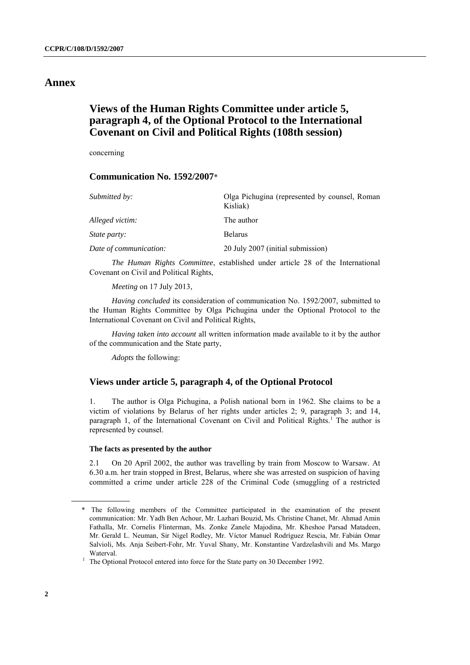## **Annex**

# **Views of the Human Rights Committee under article 5, paragraph 4, of the Optional Protocol to the International Covenant on Civil and Political Rights (108th session)**

concerning

### **Communication No. 1592/2007**\*

| Submitted by:          | Olga Pichugina (represented by counsel, Roman<br>Kisliak) |
|------------------------|-----------------------------------------------------------|
| Alleged victim:        | The author                                                |
| <i>State party:</i>    | <b>Belarus</b>                                            |
| Date of communication: | 20 July 2007 (initial submission)                         |

*The Human Rights Committee*, established under article 28 of the International Covenant on Civil and Political Rights,

*Meeting* on 17 July 2013,

*Having concluded* its consideration of communication No. 1592/2007, submitted to the Human Rights Committee by Olga Pichugina under the Optional Protocol to the International Covenant on Civil and Political Rights,

*Having taken into account* all written information made available to it by the author of the communication and the State party,

*Adopts* the following:

### **Views under article 5, paragraph 4, of the Optional Protocol**

1. The author is Olga Pichugina, a Polish national born in 1962. She claims to be a victim of violations by Belarus of her rights under articles 2; 9, paragraph 3; and 14, paragraph 1, of the International Covenant on Civil and Political Rights.<sup>1</sup> The author is represented by counsel.

#### **The facts as presented by the author**

2.1 On 20 April 2002, the author was travelling by train from Moscow to Warsaw. At 6.30 a.m. her train stopped in Brest, Belarus, where she was arrested on suspicion of having committed a crime under article 228 of the Criminal Code (smuggling of a restricted

<sup>\*</sup> The following members of the Committee participated in the examination of the present communication: Mr. Yadh Ben Achour, Mr. Lazhari Bouzid, Ms. Christine Chanet, Mr. Ahmad Amin Fathalla, Mr. Cornelis Flinterman, Ms. Zonke Zanele Majodina, Mr. Kheshoe Parsad Matadeen, Mr. Gerald L. Neuman, Sir Nigel Rodley, Mr. Víctor Manuel Rodríguez Rescia, Mr. Fabián Omar Salvioli, Ms. Anja Seibert-Fohr, Mr. Yuval Shany, Mr. Konstantine Vardzelashvili and Ms. Margo Waterval.

<sup>&</sup>lt;sup>1</sup> The Optional Protocol entered into force for the State party on 30 December 1992.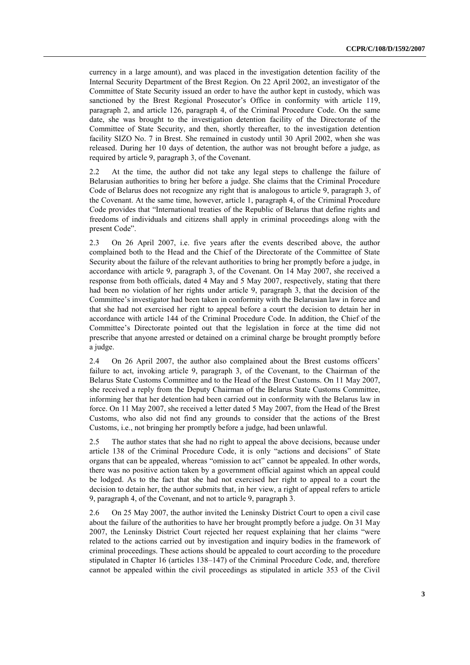currency in a large amount), and was placed in the investigation detention facility of the Internal Security Department of the Brest Region. On 22 April 2002, an investigator of the Committee of State Security issued an order to have the author kept in custody, which was sanctioned by the Brest Regional Prosecutor's Office in conformity with article 119, paragraph 2, and article 126, paragraph 4, of the Criminal Procedure Code. On the same date, she was brought to the investigation detention facility of the Directorate of the Committee of State Security, and then, shortly thereafter, to the investigation detention facility SIZO No. 7 in Brest. She remained in custody until 30 April 2002, when she was released. During her 10 days of detention, the author was not brought before a judge, as required by article 9, paragraph 3, of the Covenant.

2.2 At the time, the author did not take any legal steps to challenge the failure of Belarusian authorities to bring her before a judge. She claims that the Criminal Procedure Code of Belarus does not recognize any right that is analogous to article 9, paragraph 3, of the Covenant. At the same time, however, article 1, paragraph 4, of the Criminal Procedure Code provides that "International treaties of the Republic of Belarus that define rights and freedoms of individuals and citizens shall apply in criminal proceedings along with the present Code".

2.3 On 26 April 2007, i.e. five years after the events described above, the author complained both to the Head and the Chief of the Directorate of the Committee of State Security about the failure of the relevant authorities to bring her promptly before a judge, in accordance with article 9, paragraph 3, of the Covenant. On 14 May 2007, she received a response from both officials, dated 4 May and 5 May 2007, respectively, stating that there had been no violation of her rights under article 9, paragraph 3, that the decision of the Committee's investigator had been taken in conformity with the Belarusian law in force and that she had not exercised her right to appeal before a court the decision to detain her in accordance with article 144 of the Criminal Procedure Code. In addition, the Chief of the Committee's Directorate pointed out that the legislation in force at the time did not prescribe that anyone arrested or detained on a criminal charge be brought promptly before a judge.

2.4 On 26 April 2007, the author also complained about the Brest customs officers' failure to act, invoking article 9, paragraph 3, of the Covenant, to the Chairman of the Belarus State Customs Committee and to the Head of the Brest Customs. On 11 May 2007, she received a reply from the Deputy Chairman of the Belarus State Customs Committee, informing her that her detention had been carried out in conformity with the Belarus law in force. On 11 May 2007, she received a letter dated 5 May 2007, from the Head of the Brest Customs, who also did not find any grounds to consider that the actions of the Brest Customs, i.e., not bringing her promptly before a judge, had been unlawful.

2.5 The author states that she had no right to appeal the above decisions, because under article 138 of the Criminal Procedure Code, it is only "actions and decisions" of State organs that can be appealed, whereas "omission to act" cannot be appealed. In other words, there was no positive action taken by a government official against which an appeal could be lodged. As to the fact that she had not exercised her right to appeal to a court the decision to detain her, the author submits that, in her view, a right of appeal refers to article 9, paragraph 4, of the Covenant, and not to article 9, paragraph 3.

2.6 On 25 May 2007, the author invited the Leninsky District Court to open a civil case about the failure of the authorities to have her brought promptly before a judge. On 31 May 2007, the Leninsky District Court rejected her request explaining that her claims "were related to the actions carried out by investigation and inquiry bodies in the framework of criminal proceedings. These actions should be appealed to court according to the procedure stipulated in Chapter 16 (articles 138–147) of the Criminal Procedure Code, and, therefore cannot be appealed within the civil proceedings as stipulated in article 353 of the Civil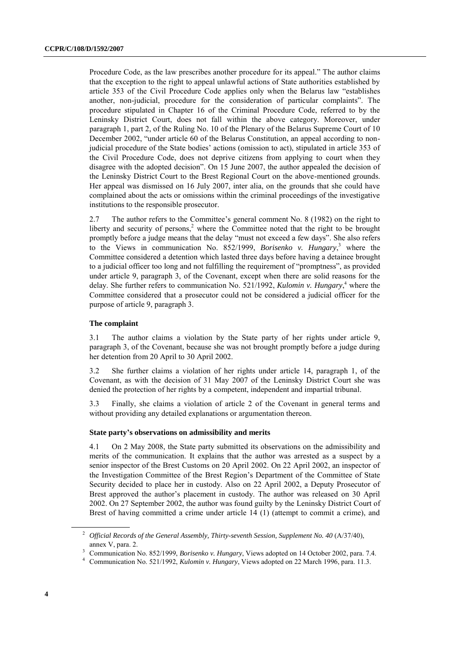Procedure Code, as the law prescribes another procedure for its appeal." The author claims that the exception to the right to appeal unlawful actions of State authorities established by article 353 of the Civil Procedure Code applies only when the Belarus law "establishes another, non-judicial, procedure for the consideration of particular complaints". The procedure stipulated in Chapter 16 of the Criminal Procedure Code, referred to by the Leninsky District Court, does not fall within the above category. Moreover, under paragraph 1, part 2, of the Ruling No. 10 of the Plenary of the Belarus Supreme Court of 10 December 2002, "under article 60 of the Belarus Constitution, an appeal according to nonjudicial procedure of the State bodies' actions (omission to act), stipulated in article 353 of the Civil Procedure Code, does not deprive citizens from applying to court when they disagree with the adopted decision". On 15 June 2007, the author appealed the decision of the Leninsky District Court to the Brest Regional Court on the above-mentioned grounds. Her appeal was dismissed on 16 July 2007, inter alia, on the grounds that she could have complained about the acts or omissions within the criminal proceedings of the investigative institutions to the responsible prosecutor.

2.7 The author refers to the Committee's general comment No. 8 (1982) on the right to liberty and security of persons,<sup>2</sup> where the Committee noted that the right to be brought promptly before a judge means that the delay "must not exceed a few days". She also refers to the Views in communication No. 852/1999, *Borisenko v. Hungary*, <sup>3</sup> where the Committee considered a detention which lasted three days before having a detainee brought to a judicial officer too long and not fulfilling the requirement of "promptness", as provided under article 9, paragraph 3, of the Covenant, except when there are solid reasons for the delay. She further refers to communication No. 521/1992, *Kulomin v. Hungary*, <sup>4</sup> where the Committee considered that a prosecutor could not be considered a judicial officer for the purpose of article 9, paragraph 3.

#### **The complaint**

3.1 The author claims a violation by the State party of her rights under article 9, paragraph 3, of the Covenant, because she was not brought promptly before a judge during her detention from 20 April to 30 April 2002.

3.2 She further claims a violation of her rights under article 14, paragraph 1, of the Covenant, as with the decision of 31 May 2007 of the Leninsky District Court she was denied the protection of her rights by a competent, independent and impartial tribunal.

3.3 Finally, she claims a violation of article 2 of the Covenant in general terms and without providing any detailed explanations or argumentation thereon.

#### **State party's observations on admissibility and merits**

4.1 On 2 May 2008, the State party submitted its observations on the admissibility and merits of the communication. It explains that the author was arrested as a suspect by a senior inspector of the Brest Customs on 20 April 2002. On 22 April 2002, an inspector of the Investigation Committee of the Brest Region's Department of the Committee of State Security decided to place her in custody. Also on 22 April 2002, a Deputy Prosecutor of Brest approved the author's placement in custody. The author was released on 30 April 2002. On 27 September 2002, the author was found guilty by the Leninsky District Court of Brest of having committed a crime under article 14 (1) (attempt to commit a crime), and

<sup>&</sup>lt;sup>2</sup> Official Records of the General Assembly, Thirty-seventh Session, Supplement No. 40 (A/37/40), annex V, para. 2.

<sup>&</sup>lt;sup>3</sup> Communication No. 852/1999, *Borisenko v. Hungary*, Views adopted on 14 October 2002, para. 7.4.

<sup>4</sup> Communication No. 521/1992, *Kulomin v. Hungary*, Views adopted on 22 March 1996, para. 11.3.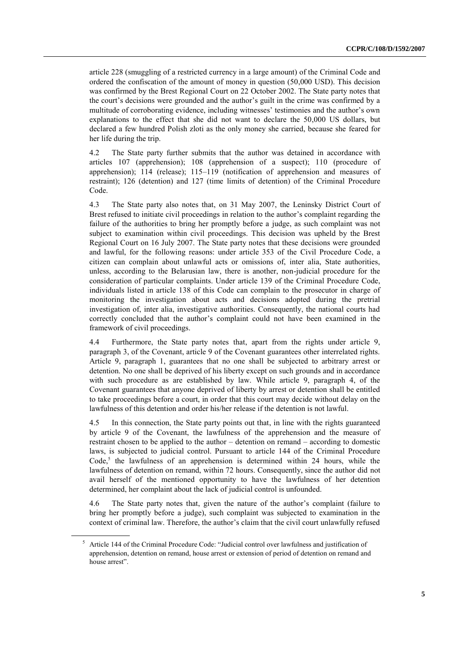article 228 (smuggling of a restricted currency in a large amount) of the Criminal Code and ordered the confiscation of the amount of money in question (50,000 USD). This decision was confirmed by the Brest Regional Court on 22 October 2002. The State party notes that the court's decisions were grounded and the author's guilt in the crime was confirmed by a multitude of corroborating evidence, including witnesses' testimonies and the author's own explanations to the effect that she did not want to declare the 50,000 US dollars, but declared a few hundred Polish zloti as the only money she carried, because she feared for her life during the trip.

4.2 The State party further submits that the author was detained in accordance with articles 107 (apprehension); 108 (apprehension of a suspect); 110 (procedure of apprehension); 114 (release); 115–119 (notification of apprehension and measures of restraint); 126 (detention) and 127 (time limits of detention) of the Criminal Procedure Code.

4.3 The State party also notes that, on 31 May 2007, the Leninsky District Court of Brest refused to initiate civil proceedings in relation to the author's complaint regarding the failure of the authorities to bring her promptly before a judge, as such complaint was not subject to examination within civil proceedings. This decision was upheld by the Brest Regional Court on 16 July 2007. The State party notes that these decisions were grounded and lawful, for the following reasons: under article 353 of the Civil Procedure Code, a citizen can complain about unlawful acts or omissions of, inter alia, State authorities, unless, according to the Belarusian law, there is another, non-judicial procedure for the consideration of particular complaints. Under article 139 of the Criminal Procedure Code, individuals listed in article 138 of this Code can complain to the prosecutor in charge of monitoring the investigation about acts and decisions adopted during the pretrial investigation of, inter alia, investigative authorities. Consequently, the national courts had correctly concluded that the author's complaint could not have been examined in the framework of civil proceedings.

4.4 Furthermore, the State party notes that, apart from the rights under article 9, paragraph 3, of the Covenant, article 9 of the Covenant guarantees other interrelated rights. Article 9, paragraph 1, guarantees that no one shall be subjected to arbitrary arrest or detention. No one shall be deprived of his liberty except on such grounds and in accordance with such procedure as are established by law. While article 9, paragraph 4, of the Covenant guarantees that anyone deprived of liberty by arrest or detention shall be entitled to take proceedings before a court, in order that this court may decide without delay on the lawfulness of this detention and order his/her release if the detention is not lawful.

4.5 In this connection, the State party points out that, in line with the rights guaranteed by article 9 of the Covenant, the lawfulness of the apprehension and the measure of restraint chosen to be applied to the author – detention on remand – according to domestic laws, is subjected to judicial control. Pursuant to article 144 of the Criminal Procedure Code,<sup>5</sup> the lawfulness of an apprehension is determined within 24 hours, while the lawfulness of detention on remand, within 72 hours. Consequently, since the author did not avail herself of the mentioned opportunity to have the lawfulness of her detention determined, her complaint about the lack of judicial control is unfounded.

4.6 The State party notes that, given the nature of the author's complaint (failure to bring her promptly before a judge), such complaint was subjected to examination in the context of criminal law. Therefore, the author's claim that the civil court unlawfully refused

<sup>5</sup> Article 144 of the Criminal Procedure Code: "Judicial control over lawfulness and justification of apprehension, detention on remand, house arrest or extension of period of detention on remand and house arrest".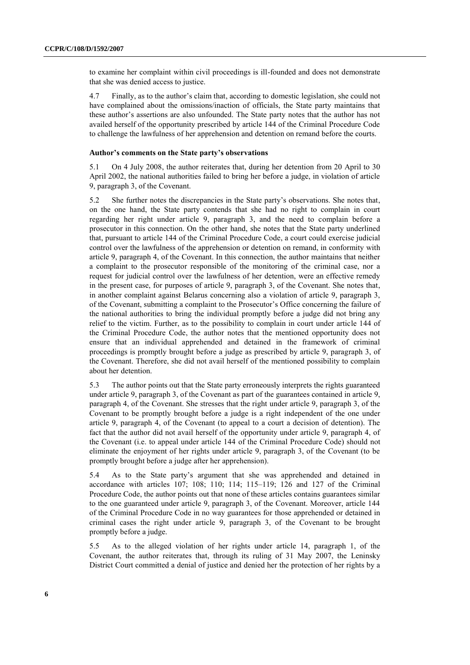to examine her complaint within civil proceedings is ill-founded and does not demonstrate that she was denied access to justice.

4.7 Finally, as to the author's claim that, according to domestic legislation, she could not have complained about the omissions/inaction of officials, the State party maintains that these author's assertions are also unfounded. The State party notes that the author has not availed herself of the opportunity prescribed by article 144 of the Criminal Procedure Code to challenge the lawfulness of her apprehension and detention on remand before the courts.

#### **Author's comments on the State party's observations**

5.1 On 4 July 2008, the author reiterates that, during her detention from 20 April to 30 April 2002, the national authorities failed to bring her before a judge, in violation of article 9, paragraph 3, of the Covenant.

5.2 She further notes the discrepancies in the State party's observations. She notes that, on the one hand, the State party contends that she had no right to complain in court regarding her right under article 9, paragraph 3, and the need to complain before a prosecutor in this connection. On the other hand, she notes that the State party underlined that, pursuant to article 144 of the Criminal Procedure Code, a court could exercise judicial control over the lawfulness of the apprehension or detention on remand, in conformity with article 9, paragraph 4, of the Covenant. In this connection, the author maintains that neither a complaint to the prosecutor responsible of the monitoring of the criminal case, nor a request for judicial control over the lawfulness of her detention, were an effective remedy in the present case, for purposes of article 9, paragraph 3, of the Covenant. She notes that, in another complaint against Belarus concerning also a violation of article 9, paragraph 3, of the Covenant, submitting a complaint to the Prosecutor's Office concerning the failure of the national authorities to bring the individual promptly before a judge did not bring any relief to the victim. Further, as to the possibility to complain in court under article 144 of the Criminal Procedure Code, the author notes that the mentioned opportunity does not ensure that an individual apprehended and detained in the framework of criminal proceedings is promptly brought before a judge as prescribed by article 9, paragraph 3, of the Covenant. Therefore, she did not avail herself of the mentioned possibility to complain about her detention.

5.3 The author points out that the State party erroneously interprets the rights guaranteed under article 9, paragraph 3, of the Covenant as part of the guarantees contained in article 9, paragraph 4, of the Covenant. She stresses that the right under article 9, paragraph 3, of the Covenant to be promptly brought before a judge is a right independent of the one under article 9, paragraph 4, of the Covenant (to appeal to a court a decision of detention). The fact that the author did not avail herself of the opportunity under article 9, paragraph 4, of the Covenant (i.e. to appeal under article 144 of the Criminal Procedure Code) should not eliminate the enjoyment of her rights under article 9, paragraph 3, of the Covenant (to be promptly brought before a judge after her apprehension).

5.4 As to the State party's argument that she was apprehended and detained in accordance with articles 107; 108; 110; 114; 115–119; 126 and 127 of the Criminal Procedure Code, the author points out that none of these articles contains guarantees similar to the one guaranteed under article 9, paragraph 3, of the Covenant. Moreover, article 144 of the Criminal Procedure Code in no way guarantees for those apprehended or detained in criminal cases the right under article 9, paragraph 3, of the Covenant to be brought promptly before a judge.

5.5 As to the alleged violation of her rights under article 14, paragraph 1, of the Covenant, the author reiterates that, through its ruling of 31 May 2007, the Leninsky District Court committed a denial of justice and denied her the protection of her rights by a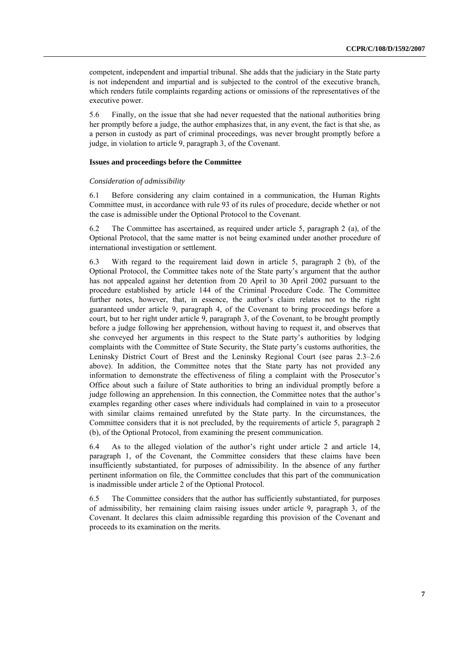competent, independent and impartial tribunal. She adds that the judiciary in the State party is not independent and impartial and is subjected to the control of the executive branch, which renders futile complaints regarding actions or omissions of the representatives of the executive power.

5.6 Finally, on the issue that she had never requested that the national authorities bring her promptly before a judge, the author emphasizes that, in any event, the fact is that she, as a person in custody as part of criminal proceedings, was never brought promptly before a judge, in violation to article 9, paragraph 3, of the Covenant.

#### **Issues and proceedings before the Committee**

#### *Consideration of admissibility*

6.1 Before considering any claim contained in a communication, the Human Rights Committee must, in accordance with rule 93 of its rules of procedure, decide whether or not the case is admissible under the Optional Protocol to the Covenant.

6.2 The Committee has ascertained, as required under article 5, paragraph 2 (a), of the Optional Protocol, that the same matter is not being examined under another procedure of international investigation or settlement.

6.3 With regard to the requirement laid down in article 5, paragraph 2 (b), of the Optional Protocol, the Committee takes note of the State party's argument that the author has not appealed against her detention from 20 April to 30 April 2002 pursuant to the procedure established by article 144 of the Criminal Procedure Code. The Committee further notes, however, that, in essence, the author's claim relates not to the right guaranteed under article 9, paragraph 4, of the Covenant to bring proceedings before a court, but to her right under article 9, paragraph 3, of the Covenant, to be brought promptly before a judge following her apprehension, without having to request it, and observes that she conveyed her arguments in this respect to the State party's authorities by lodging complaints with the Committee of State Security, the State party's customs authorities, the Leninsky District Court of Brest and the Leninsky Regional Court (see paras 2.3–2.6 above). In addition, the Committee notes that the State party has not provided any information to demonstrate the effectiveness of filing a complaint with the Prosecutor's Office about such a failure of State authorities to bring an individual promptly before a judge following an apprehension. In this connection, the Committee notes that the author's examples regarding other cases where individuals had complained in vain to a prosecutor with similar claims remained unrefuted by the State party. In the circumstances, the Committee considers that it is not precluded, by the requirements of article 5, paragraph 2 (b), of the Optional Protocol, from examining the present communication.

6.4 As to the alleged violation of the author's right under article 2 and article 14, paragraph 1, of the Covenant, the Committee considers that these claims have been insufficiently substantiated, for purposes of admissibility. In the absence of any further pertinent information on file, the Committee concludes that this part of the communication is inadmissible under article 2 of the Optional Protocol.

6.5 The Committee considers that the author has sufficiently substantiated, for purposes of admissibility, her remaining claim raising issues under article 9, paragraph 3, of the Covenant. It declares this claim admissible regarding this provision of the Covenant and proceeds to its examination on the merits.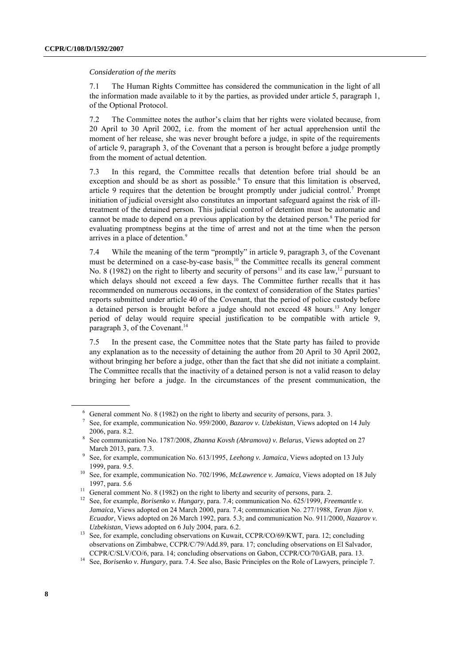#### *Consideration of the merits*

7.1 The Human Rights Committee has considered the communication in the light of all the information made available to it by the parties, as provided under article 5, paragraph 1, of the Optional Protocol.

7.2 The Committee notes the author's claim that her rights were violated because, from 20 April to 30 April 2002, i.e. from the moment of her actual apprehension until the moment of her release, she was never brought before a judge, in spite of the requirements of article 9, paragraph 3, of the Covenant that a person is brought before a judge promptly from the moment of actual detention.

7.3 In this regard, the Committee recalls that detention before trial should be an exception and should be as short as possible.<sup>6</sup> To ensure that this limitation is observed, article 9 requires that the detention be brought promptly under judicial control.<sup>7</sup> Prompt initiation of judicial oversight also constitutes an important safeguard against the risk of illtreatment of the detained person. This judicial control of detention must be automatic and cannot be made to depend on a previous application by the detained person.<sup>8</sup> The period for evaluating promptness begins at the time of arrest and not at the time when the person arrives in a place of detention.<sup>9</sup>

7.4 While the meaning of the term "promptly" in article 9, paragraph 3, of the Covenant must be determined on a case-by-case basis,<sup>10</sup> the Committee recalls its general comment No. 8 (1982) on the right to liberty and security of persons<sup>11</sup> and its case law,<sup>12</sup> pursuant to which delays should not exceed a few days. The Committee further recalls that it has recommended on numerous occasions, in the context of consideration of the States parties' reports submitted under article 40 of the Covenant, that the period of police custody before a detained person is brought before a judge should not exceed 48 hours.<sup>13</sup> Any longer period of delay would require special justification to be compatible with article 9, paragraph 3, of the Covenant.<sup>14</sup>

7.5 In the present case, the Committee notes that the State party has failed to provide any explanation as to the necessity of detaining the author from 20 April to 30 April 2002, without bringing her before a judge, other than the fact that she did not initiate a complaint. The Committee recalls that the inactivity of a detained person is not a valid reason to delay bringing her before a judge. In the circumstances of the present communication, the

<sup>6</sup> General comment No. 8 (1982) on the right to liberty and security of persons, para. 3.

<sup>7</sup> See, for example, communication No. 959/2000, *Bazarov v. Uzbekistan*, Views adopted on 14 July 2006, para. 8.2.

<sup>8</sup> See communication No. 1787/2008, *Zhanna Kovsh (Abramova) v. Belarus*, Views adopted on 27 March 2013, para. 7.3.

<sup>9</sup> See, for example, communication No. 613/1995, *Leehong v. Jamaica*, Views adopted on 13 July 1999, para. 9.5.

<sup>10</sup> See, for example, communication No. 702/1996, *McLawrence v. Jamaica*, Views adopted on 18 July 1997, para. 5.6

<sup>&</sup>lt;sup>11</sup> General comment No. 8 (1982) on the right to liberty and security of persons, para. 2.

<sup>12</sup> See, for example, *Borisenko v. Hungary*, para. 7.4; communication No. 625/1999, *Freemantle v. Jamaica*, Views adopted on 24 March 2000, para. 7.4; communication No. 277/1988, *Teran Jijon v. Ecuador*, Views adopted on 26 March 1992, para. 5.3; and communication No. 911/2000, *Nazarov v. Uzbekistan*, Views adopted on 6 July 2004, para. 6.2.

<sup>&</sup>lt;sup>13</sup> See, for example, concluding observations on Kuwait, CCPR/CO/69/KWT, para. 12; concluding observations on Zimbabwe, CCPR/C/79/Add.89, para. 17; concluding observations on El Salvador, CCPR/C/SLV/CO/6, para. 14; concluding observations on Gabon, CCPR/CO/70/GAB, para. 13.

<sup>14</sup> See, *Borisenko v. Hungary*, para. 7.4. See also, Basic Principles on the Role of Lawyers, principle 7.